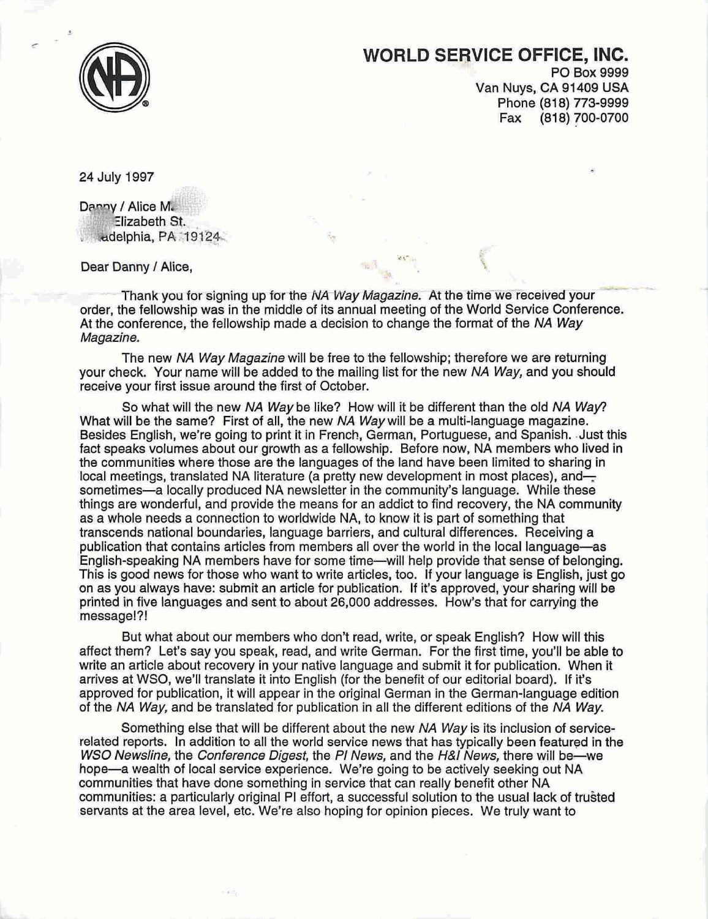

## **WORLD SERVICE OFFICE, INC.**

..

PO Box 9999 Van Nuys, CA 91409 USA Phone (818) 773-9999 Fax (818) 700-0700

24 July 1997

Danny / Alice M. Elizabeth St. ... delphia, PA 19124.

Dear Danny / Alice,

Thank you for signing up for the NA Way Magazine. At the time we received your order, the fellowship was in the middle of its annual meeting of the World Service Conference. At the conference, the fellowship made a decision to change the format of the NA Way Magazine.

The new NA Way Magazine will be free to the fellowship; therefore we are returning your check. Your name will be added to the mailing list for the new NA Way, and you should receive your first issue around the first of October.

So what will the new NA Way be like? How will it be different than the old NA Way? What will be the same? First of all, the new NA Way will be a multi-language magazine. Besides English, we're going to print it in French, German, Portuguese, and Spanish. Just this fact speaks volumes about our growth as a fellowship. Before now, NA members who lived in the communities where those are the languages of the land have been limited to sharing in local meetings, translated NA literature (a pretty new development in most places), andsometimes-a locally produced NA newsletter in the community's language. While these things are wonderful, and provide the means for an addict to find recovery, the NA community as a whole needs a connection to worldwide NA, to know it is part of something that transcends national boundaries, language barriers, and cultural differences. Receiving a publication that contains articles from members all over the world in the local language-as English-speaking NA members have for some time-will help provide that sense of belonging. This is good news for those who want to write articles, too. If your language is English, just go on as you always have: submit an article for publication. If it's approved, your sharing will be printed in five languages and sent to about 26,000 addresses. How's that for carrying the message!?!

But what about our members who don't read, write, or speak English? How will this affect them? Let's say you speak, read, and write German. For the first time, you'll be able to write an article about recovery in your native language and submit it for publication. When it arrives at WSO, we'll translate it into English (for the benefit of our editorial board). If it's approved for publication, it will appear in the original German in the German-language edition of the NA Way, and be translated for publication in all the different editions of the NA Way.

Something else that will be different about the new NA Way is its inclusion of servicerelated reports. In addition to all the world service news that has typically been featured in the WSO Newsline, the Conference Digest, the PI News, and the H&I News, there will be—we hope—a wealth of local service experience. We're going to be actively seeking out NA communities that have done something in service that can really benefit other NA communities: a particularly original PI effort, a successful solution to the usual lack of trusted servants at the area level, etc. We're also hoping for opinion pieces. We truly want to